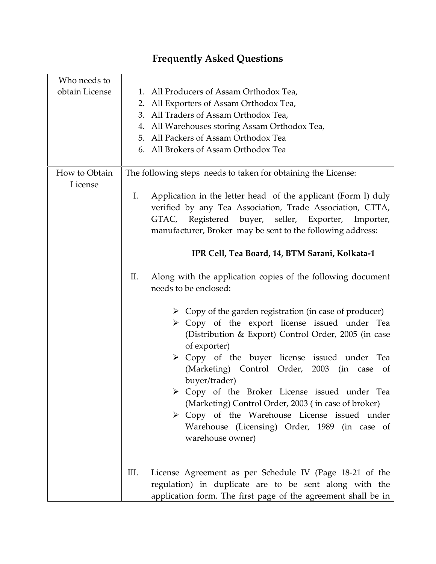| Who needs to<br>obtain License | 1. All Producers of Assam Orthodox Tea,<br>2. All Exporters of Assam Orthodox Tea,<br>3. All Traders of Assam Orthodox Tea,<br>4. All Warehouses storing Assam Orthodox Tea,<br>5. All Packers of Assam Orthodox Tea<br>6. All Brokers of Assam Orthodox Tea                                                                                                                                                                                                                                                                                                                                                                                                                                                                                                                                                                                                                                                                                                                                                              |
|--------------------------------|---------------------------------------------------------------------------------------------------------------------------------------------------------------------------------------------------------------------------------------------------------------------------------------------------------------------------------------------------------------------------------------------------------------------------------------------------------------------------------------------------------------------------------------------------------------------------------------------------------------------------------------------------------------------------------------------------------------------------------------------------------------------------------------------------------------------------------------------------------------------------------------------------------------------------------------------------------------------------------------------------------------------------|
| How to Obtain<br>License       | The following steps needs to taken for obtaining the License:<br>I.<br>Application in the letter head of the applicant (Form I) duly<br>verified by any Tea Association, Trade Association, CTTA,<br>GTAC, Registered buyer, seller, Exporter,<br>Importer,<br>manufacturer, Broker may be sent to the following address:<br>IPR Cell, Tea Board, 14, BTM Sarani, Kolkata-1<br>Along with the application copies of the following document<br>П.<br>needs to be enclosed:<br>$\triangleright$ Copy of the garden registration (in case of producer)<br>> Copy of the export license issued under Tea<br>(Distribution & Export) Control Order, 2005 (in case<br>of exporter)<br>> Copy of the buyer license issued under Tea<br>(Marketing) Control Order, 2003 (in case of<br>buyer/trader)<br>> Copy of the Broker License issued under Tea<br>(Marketing) Control Order, 2003 (in case of broker)<br>> Copy of the Warehouse License issued under<br>Warehouse (Licensing) Order, 1989 (in case of<br>warehouse owner) |
|                                | III.<br>License Agreement as per Schedule IV (Page 18-21 of the<br>regulation) in duplicate are to be sent along with the<br>application form. The first page of the agreement shall be in                                                                                                                                                                                                                                                                                                                                                                                                                                                                                                                                                                                                                                                                                                                                                                                                                                |

## **Frequently Asked Questions**